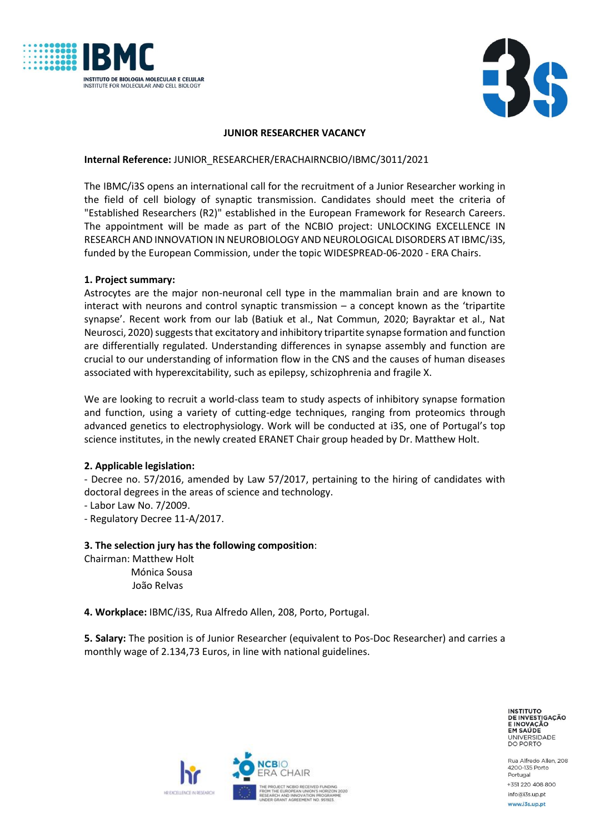



## **JUNIOR RESEARCHER VACANCY**

## **Internal Reference:** JUNIOR\_RESEARCHER/ERACHAIRNCBIO/IBMC/3011/2021

The IBMC/i3S opens an international call for the recruitment of a Junior Researcher working in the field of cell biology of synaptic transmission. Candidates should meet the criteria of "Established Researchers (R2)" established in the European Framework for Research Careers. The appointment will be made as part of the NCBIO project: UNLOCKING EXCELLENCE IN RESEARCH AND INNOVATION IN NEUROBIOLOGY AND NEUROLOGICAL DISORDERS AT IBMC/i3S, funded by the European Commission, under the topic WIDESPREAD-06-2020 - ERA Chairs.

## **1. Project summary:**

Astrocytes are the major non-neuronal cell type in the mammalian brain and are known to interact with neurons and control synaptic transmission – a concept known as the 'tripartite synapse'. Recent work from our lab (Batiuk et al., Nat Commun, 2020; Bayraktar et al., Nat Neurosci, 2020) suggests that excitatory and inhibitory tripartite synapse formation and function are differentially regulated. Understanding differences in synapse assembly and function are crucial to our understanding of information flow in the CNS and the causes of human diseases associated with hyperexcitability, such as epilepsy, schizophrenia and fragile X.

We are looking to recruit a world-class team to study aspects of inhibitory synapse formation and function, using a variety of cutting-edge techniques, ranging from proteomics through advanced genetics to electrophysiology. Work will be conducted at i3S, one of Portugal's top science institutes, in the newly created ERANET Chair group headed by Dr. Matthew Holt.

## **2. Applicable legislation:**

- Decree no. 57/2016, amended by Law 57/2017, pertaining to the hiring of candidates with doctoral degrees in the areas of science and technology.

- Labor Law No. 7/2009.

- Regulatory Decree 11-A/2017.

## **3. The selection jury has the following composition**:

Chairman: Matthew Holt Mónica Sousa João Relvas

**4. Workplace:** IBMC/i3S, Rua Alfredo Allen, 208, Porto, Portugal.

**5. Salary:** The position is of Junior Researcher (equivalent to Pos-Doc Researcher) and carries a monthly wage of 2.134,73 Euros, in line with national guidelines.

> **INSTITUTO** DE INVESTIGAÇÃO EM SAÚDE UNIVERSIDADE<br>DO PORTO

Rua Alfredo Allen, 208 4200-135 Porto Portugal +351 220 408 800 info@i3s.up.pt www.i3s.up.pt

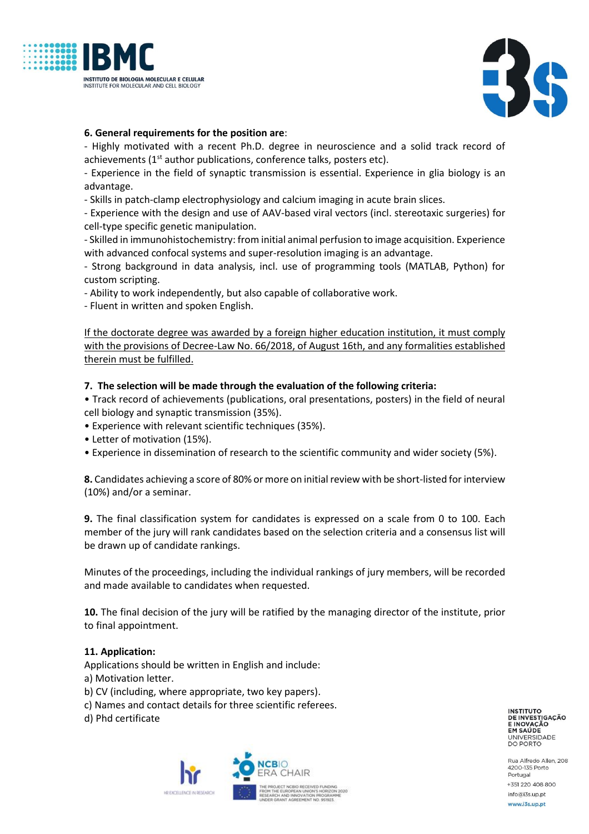



# **6. General requirements for the position are**:

- Highly motivated with a recent Ph.D. degree in neuroscience and a solid track record of achievements  $(1<sup>st</sup>$  author publications, conference talks, posters etc).

- Experience in the field of synaptic transmission is essential. Experience in glia biology is an advantage.

- Skills in patch-clamp electrophysiology and calcium imaging in acute brain slices.

- Experience with the design and use of AAV-based viral vectors (incl. stereotaxic surgeries) for cell-type specific genetic manipulation.

- Skilled in immunohistochemistry: from initial animal perfusion to image acquisition. Experience with advanced confocal systems and super-resolution imaging is an advantage.

- Strong background in data analysis, incl. use of programming tools (MATLAB, Python) for custom scripting.

- Ability to work independently, but also capable of collaborative work.

- Fluent in written and spoken English.

If the doctorate degree was awarded by a foreign higher education institution, it must comply with the provisions of Decree-Law No. 66/2018, of August 16th, and any formalities established therein must be fulfilled.

## **7. The selection will be made through the evaluation of the following criteria:**

• Track record of achievements (publications, oral presentations, posters) in the field of neural cell biology and synaptic transmission (35%).

- Experience with relevant scientific techniques (35%).
- Letter of motivation (15%).
- Experience in dissemination of research to the scientific community and wider society (5%).

**8.** Candidates achieving a score of 80% or more on initial review with be short-listed for interview (10%) and/or a seminar.

**9.** The final classification system for candidates is expressed on a scale from 0 to 100. Each member of the jury will rank candidates based on the selection criteria and a consensus list will be drawn up of candidate rankings.

Minutes of the proceedings, including the individual rankings of jury members, will be recorded and made available to candidates when requested.

**10.** The final decision of the jury will be ratified by the managing director of the institute, prior to final appointment.

#### **11. Application:**

Applications should be written in English and include:

- a) Motivation letter.
- b) CV (including, where appropriate, two key papers).
- c) Names and contact details for three scientific referees.
- d) Phd certificate



**INSTITUTO** DE INVESTIGAÇÃO **ENOVAÇÃO<br>EM SAÚDE<br>UNIVERSIDADE<br>DO PORTO** 

Rua Alfredo Allen, 208 4200-135 Porto Portugal +351 220 408 800 info@i3s.up.pt www.i3s.up.pt